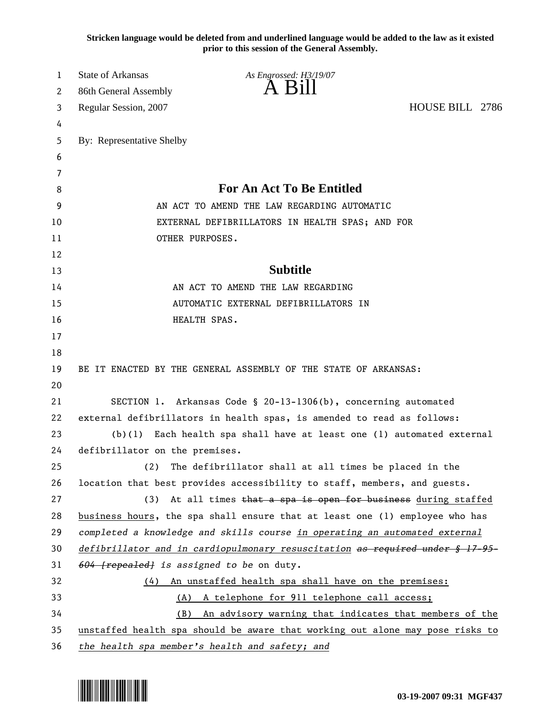**Stricken language would be deleted from and underlined language would be added to the law as it existed prior to this session of the General Assembly.**

| 1  | <b>State of Arkansas</b>                                                      | As Engrossed: H3/19/07                                                   |                 |  |
|----|-------------------------------------------------------------------------------|--------------------------------------------------------------------------|-----------------|--|
| 2  | 86th General Assembly                                                         | $\overline{A}$ $\overline{B}1$                                           |                 |  |
| 3  | Regular Session, 2007                                                         |                                                                          | HOUSE BILL 2786 |  |
| 4  |                                                                               |                                                                          |                 |  |
| 5  | By: Representative Shelby                                                     |                                                                          |                 |  |
| 6  |                                                                               |                                                                          |                 |  |
| 7  |                                                                               |                                                                          |                 |  |
| 8  | <b>For An Act To Be Entitled</b>                                              |                                                                          |                 |  |
| 9  | AN ACT TO AMEND THE LAW REGARDING AUTOMATIC                                   |                                                                          |                 |  |
| 10 | EXTERNAL DEFIBRILLATORS IN HEALTH SPAS; AND FOR                               |                                                                          |                 |  |
| 11 | OTHER PURPOSES.                                                               |                                                                          |                 |  |
| 12 |                                                                               |                                                                          |                 |  |
| 13 |                                                                               | <b>Subtitle</b>                                                          |                 |  |
| 14 |                                                                               | AN ACT TO AMEND THE LAW REGARDING                                        |                 |  |
| 15 | AUTOMATIC EXTERNAL DEFIBRILLATORS IN                                          |                                                                          |                 |  |
| 16 |                                                                               | HEALTH SPAS.                                                             |                 |  |
| 17 |                                                                               |                                                                          |                 |  |
| 18 |                                                                               |                                                                          |                 |  |
| 19 |                                                                               | BE IT ENACTED BY THE GENERAL ASSEMBLY OF THE STATE OF ARKANSAS:          |                 |  |
| 20 |                                                                               |                                                                          |                 |  |
| 21 |                                                                               | SECTION 1. Arkansas Code § 20-13-1306(b), concerning automated           |                 |  |
| 22 | external defibrillators in health spas, is amended to read as follows:        |                                                                          |                 |  |
| 23 | (b)(1)<br>Each health spa shall have at least one (1) automated external      |                                                                          |                 |  |
| 24 | defibrillator on the premises.                                                |                                                                          |                 |  |
| 25 | (2)                                                                           | The defibrillator shall at all times be placed in the                    |                 |  |
| 26 |                                                                               | location that best provides accessibility to staff, members, and guests. |                 |  |
| 27 | (3)                                                                           | At all times that a spa is open for business during staffed              |                 |  |
| 28 | business hours, the spa shall ensure that at least one (1) employee who has   |                                                                          |                 |  |
| 29 | completed a knowledge and skills course in operating an automated external    |                                                                          |                 |  |
| 30 | defibrillator and in cardiopulmonary resuscitation as required under § 17-95- |                                                                          |                 |  |
| 31 | 604 [repealed] is assigned to be on duty.                                     |                                                                          |                 |  |
| 32 | (4) An unstaffed health spa shall have on the premises:                       |                                                                          |                 |  |
| 33 | A telephone for 911 telephone call access;<br>(A)                             |                                                                          |                 |  |
| 34 |                                                                               | An advisory warning that indicates that members of the<br>(B)            |                 |  |
| 35 | unstaffed health spa should be aware that working out alone may pose risks to |                                                                          |                 |  |
| 36 | the health spa member's health and safety; and                                |                                                                          |                 |  |